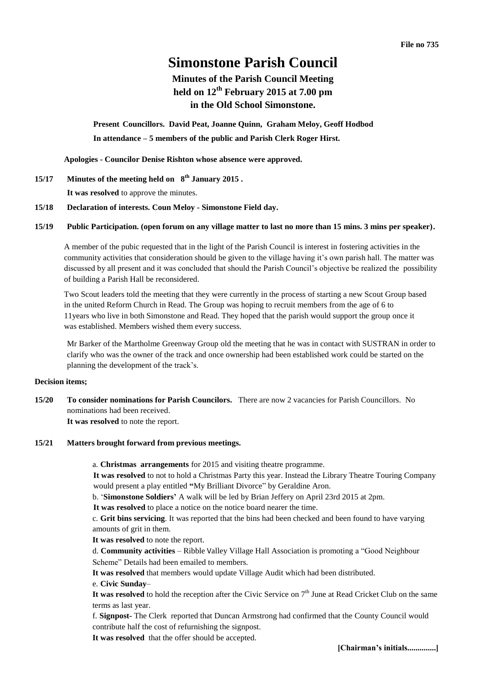# **Simonstone Parish Council**

# **Minutes of the Parish Council Meeting held on 12th February 2015 at 7.00 pm in the Old School Simonstone.**

**Present Councillors. David Peat, Joanne Quinn, Graham Meloy, Geoff Hodbod In attendance – 5 members of the public and Parish Clerk Roger Hirst.** 

**Apologies - Councilor Denise Rishton whose absence were approved.** 

- **15/17 Minutes of the meeting held on 8 th January 2015 . It was resolved** to approve the minutes.
- **15/18 Declaration of interests. Coun Meloy - Simonstone Field day.**

### **15/19 Public Participation. (open forum on any village matter to last no more than 15 mins. 3 mins per speaker).**

A member of the pubic requested that in the light of the Parish Council is interest in fostering activities in the community activities that consideration should be given to the village having it's own parish hall. The matter was discussed by all present and it was concluded that should the Parish Council's objective be realized the possibility of building a Parish Hall be reconsidered.

Two Scout leaders told the meeting that they were currently in the process of starting a new Scout Group based in the united Reform Church in Read. The Group was hoping to recruit members from the age of 6 to 11years who live in both Simonstone and Read. They hoped that the parish would support the group once it was established. Members wished them every success.

Mr Barker of the Martholme Greenway Group old the meeting that he was in contact with SUSTRAN in order to clarify who was the owner of the track and once ownership had been established work could be started on the planning the development of the track's.

### **Decision items;**

**15/20 To consider nominations for Parish Councilors.** There are now 2 vacancies for Parish Councillors. No nominations had been received. **It was resolved** to note the report.

**15/21 Matters brought forward from previous meetings.**

a. **Christmas arrangements** for 2015 and visiting theatre programme.

**It was resolved** to not to hold a Christmas Party this year. Instead the Library Theatre Touring Company would present a play entitled **"**[My Brilliant Divorce"](http://www.buxtonfringe.org.uk/descriptions2010.html#2) by Geraldine Aron.

b. '**Simonstone Soldiers'** A walk will be led by Brian Jeffery on April 23rd 2015 at 2pm.

**It was resolved** to place a notice on the notice board nearer the time.

c. **Grit bins servicing**. It was reported that the bins had been checked and been found to have varying amounts of grit in them.

**It was resolved** to note the report.

d. **Community activities** – Ribble Valley Village Hall Association is promoting a "Good Neighbour Scheme" Details had been emailed to members.

**It was resolved** that members would update Village Audit which had been distributed.

e. **Civic Sunday**–

It was resolved to hold the reception after the Civic Service on  $7<sup>th</sup>$  June at Read Cricket Club on the same terms as last year.

f. **Signpost-** The Clerk reported that Duncan Armstrong had confirmed that the County Council would contribute half the cost of refurnishing the signpost.

**It was resolved** that the offer should be accepted.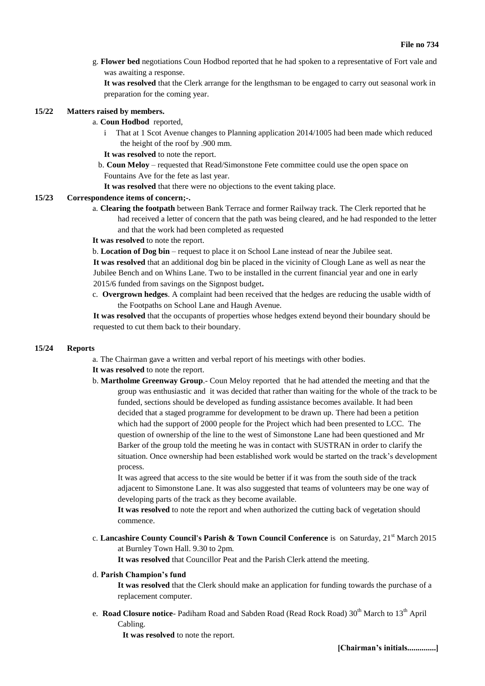g. **Flower bed** negotiations Coun Hodbod reported that he had spoken to a representative of Fort vale and was awaiting a response.

**It was resolved** that the Clerk arrange for the lengthsman to be engaged to carry out seasonal work in preparation for the coming year.

### **15/22 Matters raised by members.**

- a. **Coun Hodbod** reported,
	- i That at 1 Scot Avenue changes to Planning application 2014/1005 had been made which reduced the height of the roof by .900 mm.
	- **It was resolved** to note the report.
	- b. **Coun Meloy** requested that Read/Simonstone Fete committee could use the open space on Fountains Ave for the fete as last year.
	- **It was resolved** that there were no objections to the event taking place.

#### **15/23 Correspondence items of concern;-.**

a. **Clearing the footpath** between Bank Terrace and former Railway track. The Clerk reported that he had received a letter of concern that the path was being cleared, and he had responded to the letter and that the work had been completed as requested

#### **It was resolved** to note the report.

b. **Location of Dog bin** – request to place it on School Lane instead of near the Jubilee seat.

**It was resolved** that an additional dog bin be placed in the vicinity of Clough Lane as well as near the Jubilee Bench and on Whins Lane. Two to be installed in the current financial year and one in early 2015/6 funded from savings on the Signpost budget**.**

c. **Overgrown hedges**. A complaint had been received that the hedges are reducing the usable width of the Footpaths on School Lane and Haugh Avenue.

**It was resolved** that the occupants of properties whose hedges extend beyond their boundary should be requested to cut them back to their boundary.

#### **15/24 Reports**

- a. The Chairman gave a written and verbal report of his meetings with other bodies.
- **It was resolved** to note the report.
- b. **Martholme Greenway Group**.- Coun Meloy reported that he had attended the meeting and that the group was enthusiastic and it was decided that rather than waiting for the whole of the track to be funded, sections should be developed as funding assistance becomes available. It had been decided that a staged programme for development to be drawn up. There had been a petition which had the support of 2000 people for the Project which had been presented to LCC. The question of ownership of the line to the west of Simonstone Lane had been questioned and Mr Barker of the group told the meeting he was in contact with SUSTRAN in order to clarify the situation. Once ownership had been established work would be started on the track's development process.

It was agreed that access to the site would be better if it was from the south side of the track adjacent to Simonstone Lane. It was also suggested that teams of volunteers may be one way of developing parts of the track as they become available.

**It was resolved** to note the report and when authorized the cutting back of vegetation should commence.

c. Lancashire County Council's Parish & Town Council Conference is on Saturday, 21<sup>st</sup> March 2015 at Burnley Town Hall. 9.30 to 2pm.

**It was resolved** that Councillor Peat and the Parish Clerk attend the meeting.

# d. **Parish Champion's fund**

**It was resolved** that the Clerk should make an application for funding towards the purchase of a replacement computer.

e. Road Closure notice- Padiham Road and Sabden Road (Read Rock Road) 30<sup>th</sup> March to 13<sup>th</sup> April Cabling.

**It was resolved** to note the report.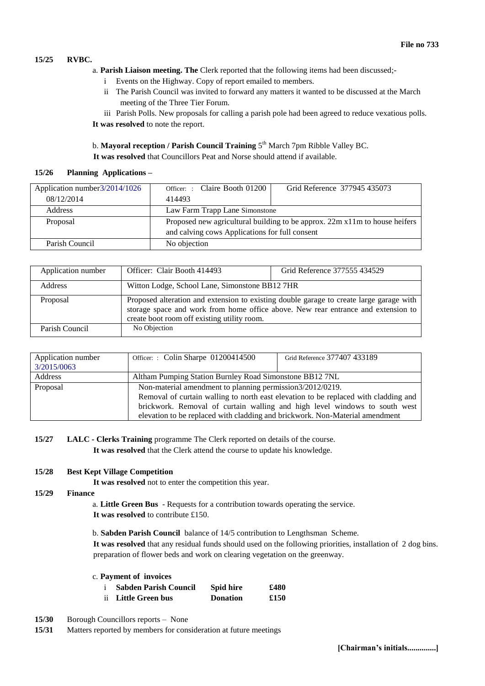# **15/25 RVBC.**

- a. **Parish Liaison meeting. The** Clerk reported that the following items had been discussed;
	- i Events on the Highway. Copy of report emailed to members.
	- ii The Parish Council was invited to forward any matters it wanted to be discussed at the March meeting of the Three Tier Forum.

iii Parish Polls. New proposals for calling a parish pole had been agreed to reduce vexatious polls. **It was resolved** to note the report.

b. Mayoral reception / Parish Council Training 5<sup>th</sup> March 7pm Ribble Valley BC.

**It was resolved** that Councillors Peat and Norse should attend if available.

## **15/26 Planning Applications –**

| Application number 3/2014/1026 | Officer: : Claire Booth 01200                                              | Grid Reference 377945 435073 |  |
|--------------------------------|----------------------------------------------------------------------------|------------------------------|--|
| 08/12/2014                     | 414493                                                                     |                              |  |
| <b>Address</b>                 | Law Farm Trapp Lane Simonstone                                             |                              |  |
| Proposal                       | Proposed new agricultural building to be approx. 22m x11m to house heifers |                              |  |
|                                | and calving cows Applications for full consent                             |                              |  |
| Parish Council                 | No objection                                                               |                              |  |

| Application number | Officer: Clair Booth 414493                                                                                                                                                                                                 | Grid Reference 377555 434529 |  |
|--------------------|-----------------------------------------------------------------------------------------------------------------------------------------------------------------------------------------------------------------------------|------------------------------|--|
| <b>Address</b>     | Witton Lodge, School Lane, Simonstone BB12 7HR                                                                                                                                                                              |                              |  |
| Proposal           | Proposed alteration and extension to existing double garage to create large garage with<br>storage space and work from home office above. New rear entrance and extension to<br>create boot room off existing utility room. |                              |  |
| Parish Council     | No Objection                                                                                                                                                                                                                |                              |  |

| Application number<br>3/2015/0063 | Officer: : Colin Sharpe 01200414500                                                                                                                                                                                            | Grid Reference 377407 433189 |  |
|-----------------------------------|--------------------------------------------------------------------------------------------------------------------------------------------------------------------------------------------------------------------------------|------------------------------|--|
| Address                           | Altham Pumping Station Burnley Road Simonstone BB12 7NL                                                                                                                                                                        |                              |  |
| Proposal                          | Non-material amendment to planning permission3/2012/0219.<br>Removal of curtain walling to north east elevation to be replaced with cladding and<br>brickwork. Removal of curtain walling and high level windows to south west |                              |  |
|                                   | elevation to be replaced with cladding and brickwork. Non-Material amendment                                                                                                                                                   |                              |  |

**15/27 LALC - Clerks Training** programme The Clerk reported on details of the course. **It was resolved** that the Clerk attend the course to update his knowledge.

# **15/28 Best Kept Village Competition**

**It was resolved** not to enter the competition this year.

### **15/29 Finance**

- a. **Little Green Bus** Requests for a contribution towards operating the service. **It was resolved** to contribute £150.
- b. **Sabden Parish Council** balance of 14/5 contribution to Lengthsman Scheme.

**It was resolved** that any residual funds should used on the following priorities, installation of 2 dog bins. preparation of flower beds and work on clearing vegetation on the greenway.

c. **Payment of invoices**

| <b>Sabden Parish Council</b> | Spid hire       | £480 |
|------------------------------|-----------------|------|
| ii Little Green bus          | <b>Donation</b> | £150 |

- **15/30** Borough Councillors reports None
- **15/31** Matters reported by members for consideration at future meetings